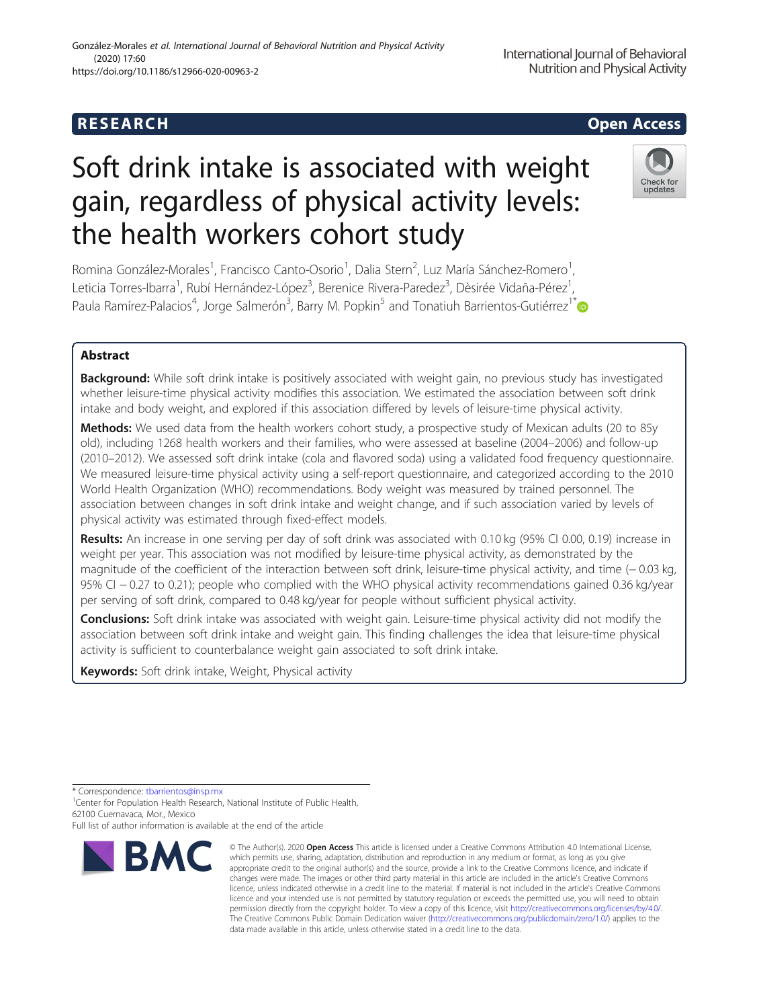# **RESEARCH CHEAR CHEAR CHEAR CHEAR CHEAR CHEAR CHEAR CHEAR CHEAR CHEAR CHEAR CHEAR CHEAR CHEAR CHEAR CHEAR CHEAR**

# Soft drink intake is associated with weight gain, regardless of physical activity levels: the health workers cohort study

Romina González-Morales<sup>1</sup>, Francisco Canto-Osorio<sup>1</sup>, Dalia Stern<sup>2</sup>, Luz María Sánchez-Romero<sup>1</sup> , Leticia Torres-Ibarra<sup>1</sup>, Rubí Hernández-López<sup>3</sup>, Berenice Rivera-Paredez<sup>3</sup>, Dèsirée Vidaña-Pérez<sup>1</sup> , Paula Ramírez-Palacios<sup>4</sup>, Jorge Salmerón<sup>3</sup>, Barry M. Popkin<sup>5</sup> and Tonatiuh Barrientos-Gutiérrez<sup>1\*</sup>

# Abstract

Background: While soft drink intake is positively associated with weight gain, no previous study has investigated whether leisure-time physical activity modifies this association. We estimated the association between soft drink intake and body weight, and explored if this association differed by levels of leisure-time physical activity.

Methods: We used data from the health workers cohort study, a prospective study of Mexican adults (20 to 85y old), including 1268 health workers and their families, who were assessed at baseline (2004–2006) and follow-up (2010–2012). We assessed soft drink intake (cola and flavored soda) using a validated food frequency questionnaire. We measured leisure-time physical activity using a self-report questionnaire, and categorized according to the 2010 World Health Organization (WHO) recommendations. Body weight was measured by trained personnel. The association between changes in soft drink intake and weight change, and if such association varied by levels of physical activity was estimated through fixed-effect models.

Results: An increase in one serving per day of soft drink was associated with 0.10 kg (95% CI 0.00, 0.19) increase in weight per year. This association was not modified by leisure-time physical activity, as demonstrated by the magnitude of the coefficient of the interaction between soft drink, leisure-time physical activity, and time (− 0.03 kg, 95% CI − 0.27 to 0.21); people who complied with the WHO physical activity recommendations gained 0.36 kg/year per serving of soft drink, compared to 0.48 kg/year for people without sufficient physical activity.

Conclusions: Soft drink intake was associated with weight gain. Leisure-time physical activity did not modify the association between soft drink intake and weight gain. This finding challenges the idea that leisure-time physical activity is sufficient to counterbalance weight gain associated to soft drink intake.

Keywords: Soft drink intake, Weight, Physical activity

\* Correspondence: [tbarrientos@insp.mx](mailto:tbarrientos@insp.mx) <sup>1</sup>

<sup>1</sup> Center for Population Health Research, National Institute of Public Health, 62100 Cuernavaca, Mor., Mexico

Full list of author information is available at the end of the article



<sup>©</sup> The Author(s), 2020 **Open Access** This article is licensed under a Creative Commons Attribution 4.0 International License, which permits use, sharing, adaptation, distribution and reproduction in any medium or format, as long as you give appropriate credit to the original author(s) and the source, provide a link to the Creative Commons licence, and indicate if changes were made. The images or other third party material in this article are included in the article's Creative Commons licence, unless indicated otherwise in a credit line to the material. If material is not included in the article's Creative Commons licence and your intended use is not permitted by statutory regulation or exceeds the permitted use, you will need to obtain permission directly from the copyright holder. To view a copy of this licence, visit [http://creativecommons.org/licenses/by/4.0/.](http://creativecommons.org/licenses/by/4.0/) The Creative Commons Public Domain Dedication waiver [\(http://creativecommons.org/publicdomain/zero/1.0/](http://creativecommons.org/publicdomain/zero/1.0/)) applies to the data made available in this article, unless otherwise stated in a credit line to the data.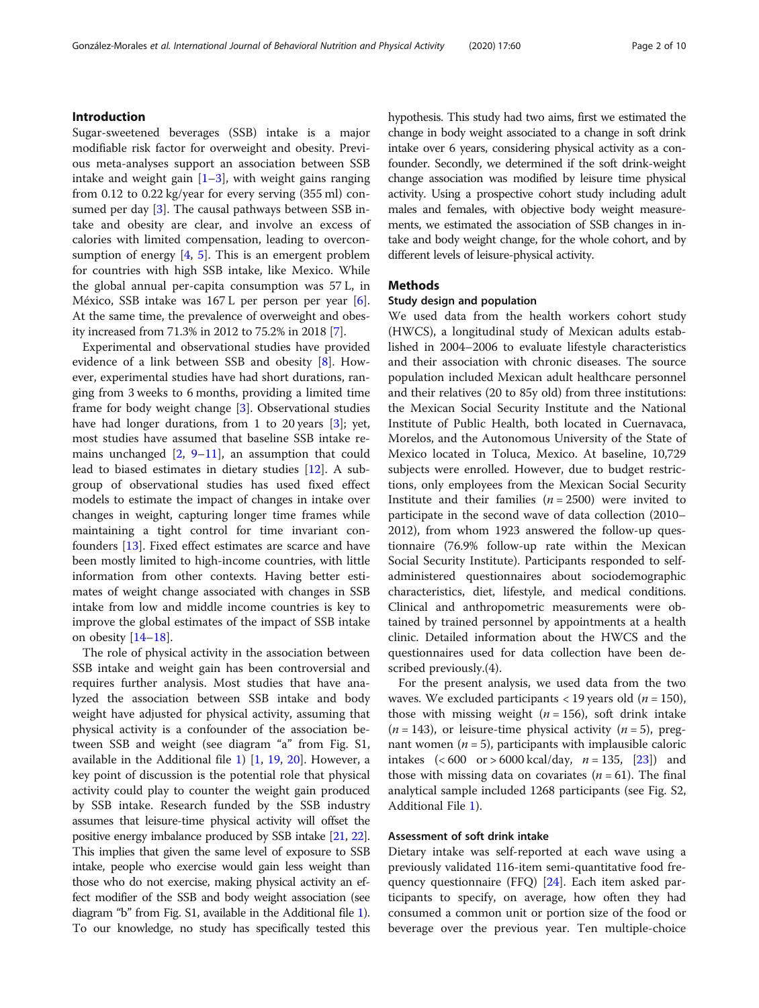# Introduction

Sugar-sweetened beverages (SSB) intake is a major modifiable risk factor for overweight and obesity. Previous meta-analyses support an association between SSB intake and weight gain  $[1-3]$  $[1-3]$  $[1-3]$  $[1-3]$ , with weight gains ranging from 0.12 to 0.22 kg/year for every serving (355 ml) consumed per day [[3\]](#page-8-0). The causal pathways between SSB intake and obesity are clear, and involve an excess of calories with limited compensation, leading to overconsumption of energy  $[4, 5]$  $[4, 5]$  $[4, 5]$  $[4, 5]$  $[4, 5]$ . This is an emergent problem for countries with high SSB intake, like Mexico. While the global annual per-capita consumption was 57 L, in México, SSB intake was 167 L per person per year [\[6](#page-8-0)]. At the same time, the prevalence of overweight and obesity increased from 71.3% in 2012 to 75.2% in 2018 [[7\]](#page-8-0).

Experimental and observational studies have provided evidence of a link between SSB and obesity [[8\]](#page-8-0). However, experimental studies have had short durations, ranging from 3 weeks to 6 months, providing a limited time frame for body weight change [\[3](#page-8-0)]. Observational studies have had longer durations, from 1 to 20 years [[3\]](#page-8-0); yet, most studies have assumed that baseline SSB intake remains unchanged  $[2, 9-11]$  $[2, 9-11]$  $[2, 9-11]$  $[2, 9-11]$  $[2, 9-11]$ , an assumption that could lead to biased estimates in dietary studies [\[12\]](#page-8-0). A subgroup of observational studies has used fixed effect models to estimate the impact of changes in intake over changes in weight, capturing longer time frames while maintaining a tight control for time invariant confounders [[13\]](#page-8-0). Fixed effect estimates are scarce and have been mostly limited to high-income countries, with little information from other contexts. Having better estimates of weight change associated with changes in SSB intake from low and middle income countries is key to improve the global estimates of the impact of SSB intake on obesity [[14](#page-8-0)–[18](#page-8-0)].

The role of physical activity in the association between SSB intake and weight gain has been controversial and requires further analysis. Most studies that have analyzed the association between SSB intake and body weight have adjusted for physical activity, assuming that physical activity is a confounder of the association between SSB and weight (see diagram "a" from Fig. S1, available in the Additional file [1\)](#page-7-0) [[1,](#page-8-0) [19,](#page-8-0) [20](#page-8-0)]. However, a key point of discussion is the potential role that physical activity could play to counter the weight gain produced by SSB intake. Research funded by the SSB industry assumes that leisure-time physical activity will offset the positive energy imbalance produced by SSB intake [[21,](#page-8-0) [22](#page-8-0)]. This implies that given the same level of exposure to SSB intake, people who exercise would gain less weight than those who do not exercise, making physical activity an effect modifier of the SSB and body weight association (see diagram "b" from Fig. S1, available in the Additional file [1](#page-7-0)). To our knowledge, no study has specifically tested this hypothesis. This study had two aims, first we estimated the change in body weight associated to a change in soft drink intake over 6 years, considering physical activity as a confounder. Secondly, we determined if the soft drink-weight change association was modified by leisure time physical activity. Using a prospective cohort study including adult males and females, with objective body weight measurements, we estimated the association of SSB changes in intake and body weight change, for the whole cohort, and by different levels of leisure-physical activity.

# Methods

#### Study design and population

We used data from the health workers cohort study (HWCS), a longitudinal study of Mexican adults established in 2004–2006 to evaluate lifestyle characteristics and their association with chronic diseases. The source population included Mexican adult healthcare personnel and their relatives (20 to 85y old) from three institutions: the Mexican Social Security Institute and the National Institute of Public Health, both located in Cuernavaca, Morelos, and the Autonomous University of the State of Mexico located in Toluca, Mexico. At baseline, 10,729 subjects were enrolled. However, due to budget restrictions, only employees from the Mexican Social Security Institute and their families ( $n = 2500$ ) were invited to participate in the second wave of data collection (2010– 2012), from whom 1923 answered the follow-up questionnaire (76.9% follow-up rate within the Mexican Social Security Institute). Participants responded to selfadministered questionnaires about sociodemographic characteristics, diet, lifestyle, and medical conditions. Clinical and anthropometric measurements were obtained by trained personnel by appointments at a health clinic. Detailed information about the HWCS and the questionnaires used for data collection have been described previously.(4).

For the present analysis, we used data from the two waves. We excluded participants  $<$  19 years old ( $n = 150$ ), those with missing weight ( $n = 156$ ), soft drink intake  $(n = 143)$ , or leisure-time physical activity  $(n = 5)$ , pregnant women  $(n = 5)$ , participants with implausible caloric intakes  $(< 600$  or  $> 6000$  kcal/day,  $n = 135$ ,  $[23]$  $[23]$ ) and those with missing data on covariates  $(n = 61)$ . The final analytical sample included 1268 participants (see Fig. S2, Additional File [1](#page-7-0)).

#### Assessment of soft drink intake

Dietary intake was self-reported at each wave using a previously validated 116-item semi-quantitative food frequency questionnaire (FFQ) [\[24](#page-8-0)]. Each item asked participants to specify, on average, how often they had consumed a common unit or portion size of the food or beverage over the previous year. Ten multiple-choice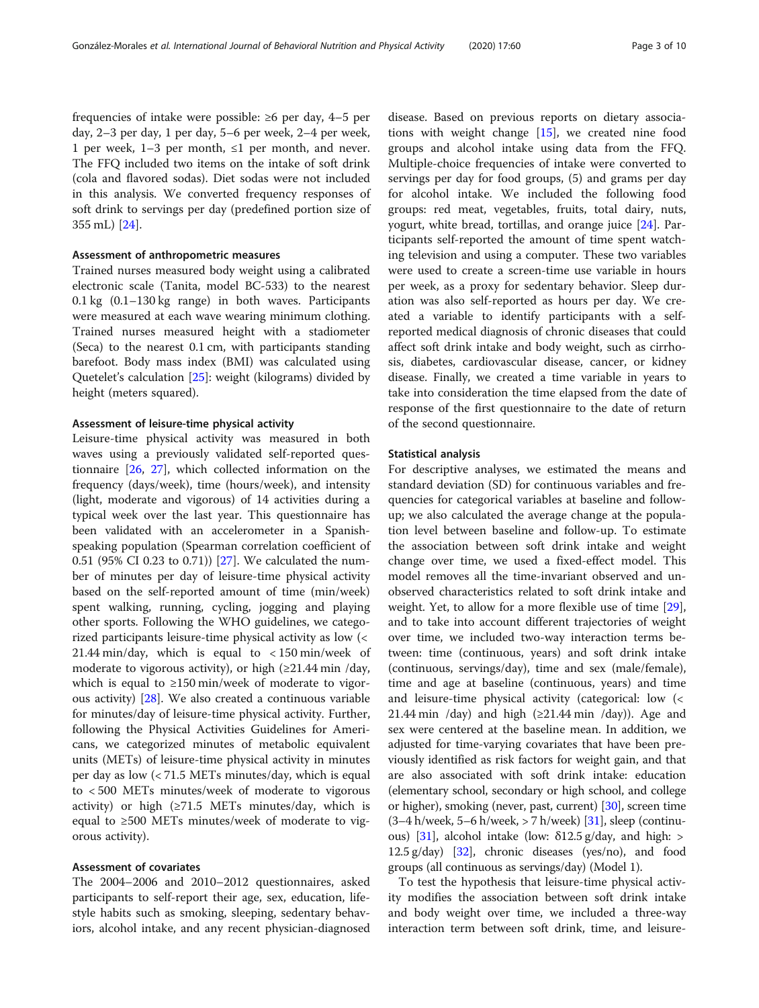frequencies of intake were possible: ≥6 per day, 4–5 per day, 2–3 per day, 1 per day, 5–6 per week, 2–4 per week, 1 per week, 1–3 per month, ≤1 per month, and never. The FFQ included two items on the intake of soft drink (cola and flavored sodas). Diet sodas were not included in this analysis. We converted frequency responses of soft drink to servings per day (predefined portion size of 355 mL) [\[24](#page-8-0)].

# Assessment of anthropometric measures

Trained nurses measured body weight using a calibrated electronic scale (Tanita, model BC-533) to the nearest 0.1 kg (0.1–130 kg range) in both waves. Participants were measured at each wave wearing minimum clothing. Trained nurses measured height with a stadiometer (Seca) to the nearest 0.1 cm, with participants standing barefoot. Body mass index (BMI) was calculated using Quetelet's calculation [[25\]](#page-8-0): weight (kilograms) divided by height (meters squared).

### Assessment of leisure-time physical activity

Leisure-time physical activity was measured in both waves using a previously validated self-reported questionnaire [\[26](#page-8-0), [27](#page-8-0)], which collected information on the frequency (days/week), time (hours/week), and intensity (light, moderate and vigorous) of 14 activities during a typical week over the last year. This questionnaire has been validated with an accelerometer in a Spanishspeaking population (Spearman correlation coefficient of 0.51 (95% CI 0.23 to 0.71)) [[27\]](#page-8-0). We calculated the number of minutes per day of leisure-time physical activity based on the self-reported amount of time (min/week) spent walking, running, cycling, jogging and playing other sports. Following the WHO guidelines, we categorized participants leisure-time physical activity as low (< 21.44 min/day, which is equal to < 150 min/week of moderate to vigorous activity), or high  $(\geq 21.44 \text{ min } / \text{day})$ , which is equal to  $\geq$ 150 min/week of moderate to vigorous activity) [\[28](#page-8-0)]. We also created a continuous variable for minutes/day of leisure-time physical activity. Further, following the Physical Activities Guidelines for Americans, we categorized minutes of metabolic equivalent units (METs) of leisure-time physical activity in minutes per day as low (< 71.5 METs minutes/day, which is equal to < 500 METs minutes/week of moderate to vigorous activity) or high  $(≥71.5$  METs minutes/day, which is equal to ≥500 METs minutes/week of moderate to vigorous activity).

## Assessment of covariates

The 2004–2006 and 2010–2012 questionnaires, asked participants to self-report their age, sex, education, lifestyle habits such as smoking, sleeping, sedentary behaviors, alcohol intake, and any recent physician-diagnosed

disease. Based on previous reports on dietary associations with weight change [[15\]](#page-8-0), we created nine food groups and alcohol intake using data from the FFQ. Multiple-choice frequencies of intake were converted to servings per day for food groups, (5) and grams per day for alcohol intake. We included the following food groups: red meat, vegetables, fruits, total dairy, nuts, yogurt, white bread, tortillas, and orange juice [[24\]](#page-8-0). Participants self-reported the amount of time spent watching television and using a computer. These two variables were used to create a screen-time use variable in hours per week, as a proxy for sedentary behavior. Sleep duration was also self-reported as hours per day. We created a variable to identify participants with a selfreported medical diagnosis of chronic diseases that could affect soft drink intake and body weight, such as cirrhosis, diabetes, cardiovascular disease, cancer, or kidney disease. Finally, we created a time variable in years to take into consideration the time elapsed from the date of response of the first questionnaire to the date of return of the second questionnaire.

#### Statistical analysis

For descriptive analyses, we estimated the means and standard deviation (SD) for continuous variables and frequencies for categorical variables at baseline and followup; we also calculated the average change at the population level between baseline and follow-up. To estimate the association between soft drink intake and weight change over time, we used a fixed-effect model. This model removes all the time-invariant observed and unobserved characteristics related to soft drink intake and weight. Yet, to allow for a more flexible use of time [\[29](#page-8-0)], and to take into account different trajectories of weight over time, we included two-way interaction terms between: time (continuous, years) and soft drink intake (continuous, servings/day), time and sex (male/female), time and age at baseline (continuous, years) and time and leisure-time physical activity (categorical: low (< 21.44 min /day) and high  $(\geq 21.44$  min /day)). Age and sex were centered at the baseline mean. In addition, we adjusted for time-varying covariates that have been previously identified as risk factors for weight gain, and that are also associated with soft drink intake: education (elementary school, secondary or high school, and college or higher), smoking (never, past, current) [[30\]](#page-8-0), screen time  $(3-4 h$ /week, 5–6 h/week, > 7 h/week) [\[31\]](#page-8-0), sleep (continu-ous) [\[31](#page-8-0)], alcohol intake (low:  $\delta$ 12.5 g/day, and high: > 12.5 g/day)  $[32]$  $[32]$ , chronic diseases (yes/no), and food groups (all continuous as servings/day) (Model 1).

To test the hypothesis that leisure-time physical activity modifies the association between soft drink intake and body weight over time, we included a three-way interaction term between soft drink, time, and leisure-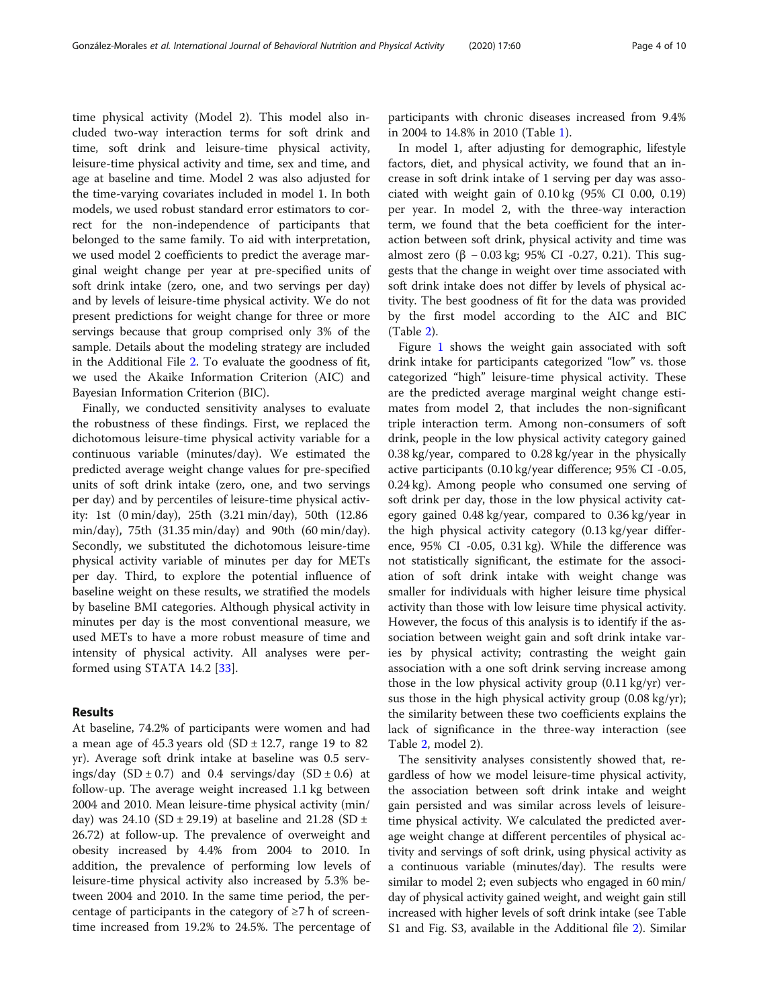time physical activity (Model 2). This model also included two-way interaction terms for soft drink and time, soft drink and leisure-time physical activity, leisure-time physical activity and time, sex and time, and age at baseline and time. Model 2 was also adjusted for the time-varying covariates included in model 1. In both models, we used robust standard error estimators to correct for the non-independence of participants that belonged to the same family. To aid with interpretation, we used model 2 coefficients to predict the average marginal weight change per year at pre-specified units of soft drink intake (zero, one, and two servings per day) and by levels of leisure-time physical activity. We do not present predictions for weight change for three or more servings because that group comprised only 3% of the sample. Details about the modeling strategy are included in the Additional File [2.](#page-7-0) To evaluate the goodness of fit, we used the Akaike Information Criterion (AIC) and Bayesian Information Criterion (BIC).

Finally, we conducted sensitivity analyses to evaluate the robustness of these findings. First, we replaced the dichotomous leisure-time physical activity variable for a continuous variable (minutes/day). We estimated the predicted average weight change values for pre-specified units of soft drink intake (zero, one, and two servings per day) and by percentiles of leisure-time physical activity: 1st (0 min/day), 25th (3.21 min/day), 50th (12.86 min/day), 75th (31.35 min/day) and 90th (60 min/day). Secondly, we substituted the dichotomous leisure-time physical activity variable of minutes per day for METs per day. Third, to explore the potential influence of baseline weight on these results, we stratified the models by baseline BMI categories. Although physical activity in minutes per day is the most conventional measure, we used METs to have a more robust measure of time and intensity of physical activity. All analyses were performed using STATA 14.2 [[33\]](#page-9-0).

# Results

At baseline, 74.2% of participants were women and had a mean age of  $45.3$  years old  $(SD \pm 12.7)$ , range 19 to 82 yr). Average soft drink intake at baseline was 0.5 servings/day  $(SD \pm 0.7)$  and 0.4 servings/day  $(SD \pm 0.6)$  at follow-up. The average weight increased 1.1 kg between 2004 and 2010. Mean leisure-time physical activity (min/ day) was 24.10 (SD  $\pm$  29.19) at baseline and 21.28 (SD  $\pm$ 26.72) at follow-up. The prevalence of overweight and obesity increased by 4.4% from 2004 to 2010. In addition, the prevalence of performing low levels of leisure-time physical activity also increased by 5.3% between 2004 and 2010. In the same time period, the percentage of participants in the category of  $\geq 7$  h of screentime increased from 19.2% to 24.5%. The percentage of

participants with chronic diseases increased from 9.4% in 2004 to 14.8% in 2010 (Table [1\)](#page-4-0).

In model 1, after adjusting for demographic, lifestyle factors, diet, and physical activity, we found that an increase in soft drink intake of 1 serving per day was associated with weight gain of 0.10 kg (95% CI 0.00, 0.19) per year. In model 2, with the three-way interaction term, we found that the beta coefficient for the interaction between soft drink, physical activity and time was almost zero (β – 0.03 kg; 95% CI -0.27, 0.21). This suggests that the change in weight over time associated with soft drink intake does not differ by levels of physical activity. The best goodness of fit for the data was provided by the first model according to the AIC and BIC (Table [2\)](#page-5-0).

Figure [1](#page-6-0) shows the weight gain associated with soft drink intake for participants categorized "low" vs. those categorized "high" leisure-time physical activity. These are the predicted average marginal weight change estimates from model 2, that includes the non-significant triple interaction term. Among non-consumers of soft drink, people in the low physical activity category gained 0.38 kg/year, compared to 0.28 kg/year in the physically active participants (0.10 kg/year difference; 95% CI -0.05, 0.24 kg). Among people who consumed one serving of soft drink per day, those in the low physical activity category gained 0.48 kg/year, compared to 0.36 kg/year in the high physical activity category (0.13 kg/year difference, 95% CI -0.05, 0.31 kg). While the difference was not statistically significant, the estimate for the association of soft drink intake with weight change was smaller for individuals with higher leisure time physical activity than those with low leisure time physical activity. However, the focus of this analysis is to identify if the association between weight gain and soft drink intake varies by physical activity; contrasting the weight gain association with a one soft drink serving increase among those in the low physical activity group (0.11 kg/yr) versus those in the high physical activity group  $(0.08 \text{ kg/yr})$ ; the similarity between these two coefficients explains the lack of significance in the three-way interaction (see Table [2,](#page-5-0) model 2).

The sensitivity analyses consistently showed that, regardless of how we model leisure-time physical activity, the association between soft drink intake and weight gain persisted and was similar across levels of leisuretime physical activity. We calculated the predicted average weight change at different percentiles of physical activity and servings of soft drink, using physical activity as a continuous variable (minutes/day). The results were similar to model 2; even subjects who engaged in 60 min/ day of physical activity gained weight, and weight gain still increased with higher levels of soft drink intake (see Table S1 and Fig. S3, available in the Additional file [2](#page-7-0)). Similar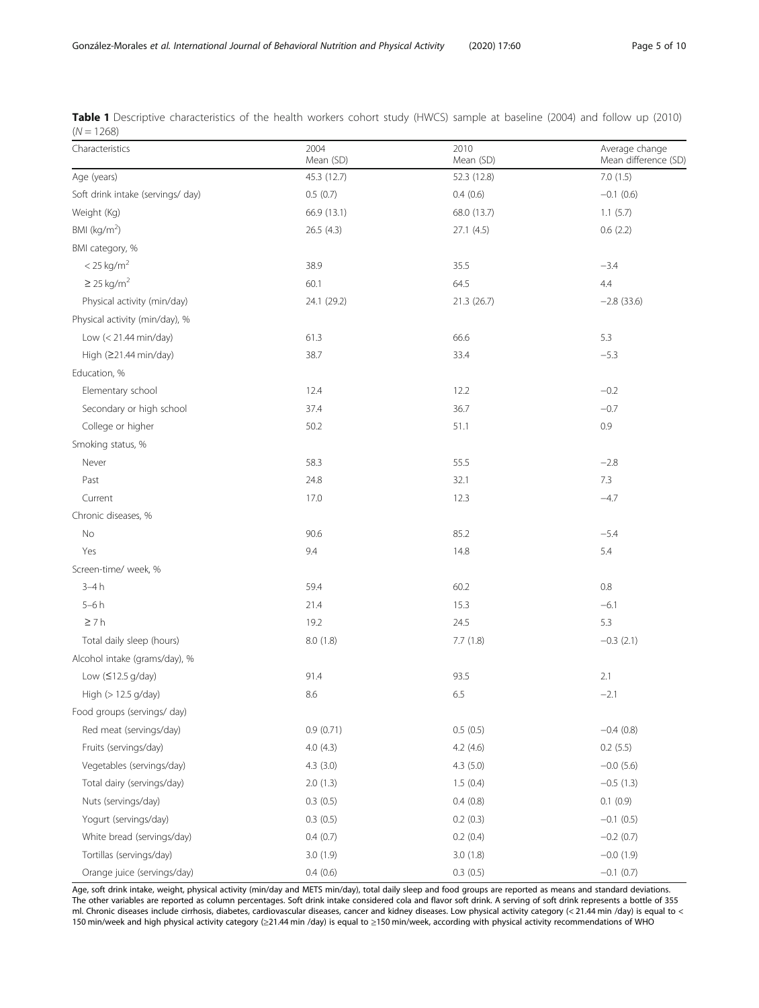| Characteristics                   | 2004<br>Mean (SD) | 2010<br>Mean (SD) | Average change<br>Mean difference (SD) |
|-----------------------------------|-------------------|-------------------|----------------------------------------|
| Age (years)                       | 45.3 (12.7)       | 52.3 (12.8)       | 7.0(1.5)                               |
| Soft drink intake (servings/ day) | 0.5(0.7)          | 0.4(0.6)          | $-0.1$ (0.6)                           |
| Weight (Kg)                       | 66.9 (13.1)       | 68.0 (13.7)       | 1.1(5.7)                               |
| BMI ( $kg/m2$ )                   | 26.5 (4.3)        | 27.1 (4.5)        | 0.6(2.2)                               |
| BMI category, %                   |                   |                   |                                        |
| $<$ 25 kg/m <sup>2</sup>          | 38.9              | 35.5              | $-3.4$                                 |
| $\geq$ 25 kg/m <sup>2</sup>       | 60.1              | 64.5              | 4.4                                    |
| Physical activity (min/day)       | 24.1 (29.2)       | 21.3 (26.7)       | $-2.8$ (33.6)                          |
| Physical activity (min/day), %    |                   |                   |                                        |
| Low (< 21.44 min/day)             | 61.3              | 66.6              | 5.3                                    |
| High (≥21.44 min/day)             | 38.7              | 33.4              | $-5.3$                                 |
| Education, %                      |                   |                   |                                        |
| Elementary school                 | 12.4              | 12.2              | $-0.2$                                 |
| Secondary or high school          | 37.4              | 36.7              | $-0.7$                                 |
| College or higher                 | 50.2              | 51.1              | 0.9                                    |
| Smoking status, %                 |                   |                   |                                        |
| Never                             | 58.3              | 55.5              | $-2.8$                                 |
| Past                              | 24.8              | 32.1              | 7.3                                    |
| Current                           | 17.0              | 12.3              | $-4.7$                                 |
| Chronic diseases, %               |                   |                   |                                        |
| No                                | 90.6              | 85.2              | $-5.4$                                 |
| Yes                               | 9.4               | 14.8              | 5.4                                    |
| Screen-time/ week, %              |                   |                   |                                        |
| $3-4h$                            | 59.4              | 60.2              | 0.8                                    |
| $5-6h$                            | 21.4              | 15.3              | $-6.1$                                 |
| $\geq 7h$                         | 19.2              | 24.5              | 5.3                                    |
| Total daily sleep (hours)         | 8.0 (1.8)         | 7.7(1.8)          | $-0.3(2.1)$                            |
| Alcohol intake (grams/day), %     |                   |                   |                                        |
| Low $(≤12.5 g/day)$               | 91.4              | 93.5              | 2.1                                    |
| High (> 12.5 g/day)               | 8.6               | 6.5               | $-2.1$                                 |
| Food groups (servings/ day)       |                   |                   |                                        |
| Red meat (servings/day)           | 0.9(0.71)         | 0.5(0.5)          | $-0.4(0.8)$                            |
| Fruits (servings/day)             | 4.0(4.3)          | 4.2(4.6)          | 0.2(5.5)                               |
| Vegetables (servings/day)         | 4.3(3.0)          | 4.3(5.0)          | $-0.0$ (5.6)                           |
| Total dairy (servings/day)        | 2.0(1.3)          | 1.5(0.4)          | $-0.5(1.3)$                            |
| Nuts (servings/day)               | 0.3(0.5)          | 0.4(0.8)          | 0.1(0.9)                               |
| Yogurt (servings/day)             | 0.3(0.5)          | 0.2(0.3)          | $-0.1$ (0.5)                           |
| White bread (servings/day)        | 0.4(0.7)          | 0.2(0.4)          | $-0.2$ (0.7)                           |
| Tortillas (servings/day)          | 3.0(1.9)          | 3.0(1.8)          | $-0.0$ $(1.9)$                         |
| Orange juice (servings/day)       | 0.4(0.6)          | 0.3(0.5)          | $-0.1$ (0.7)                           |

<span id="page-4-0"></span>Table 1 Descriptive characteristics of the health workers cohort study (HWCS) sample at baseline (2004) and follow up (2010)  $(N = 1268)$ 

Age, soft drink intake, weight, physical activity (min/day and METS min/day), total daily sleep and food groups are reported as means and standard deviations. The other variables are reported as column percentages. Soft drink intake considered cola and flavor soft drink. A serving of soft drink represents a bottle of 355 ml. Chronic diseases include cirrhosis, diabetes, cardiovascular diseases, cancer and kidney diseases. Low physical activity category (< 21.44 min /day) is equal to < 150 min/week and high physical activity category (≥21.44 min /day) is equal to ≥150 min/week, according with physical activity recommendations of WHO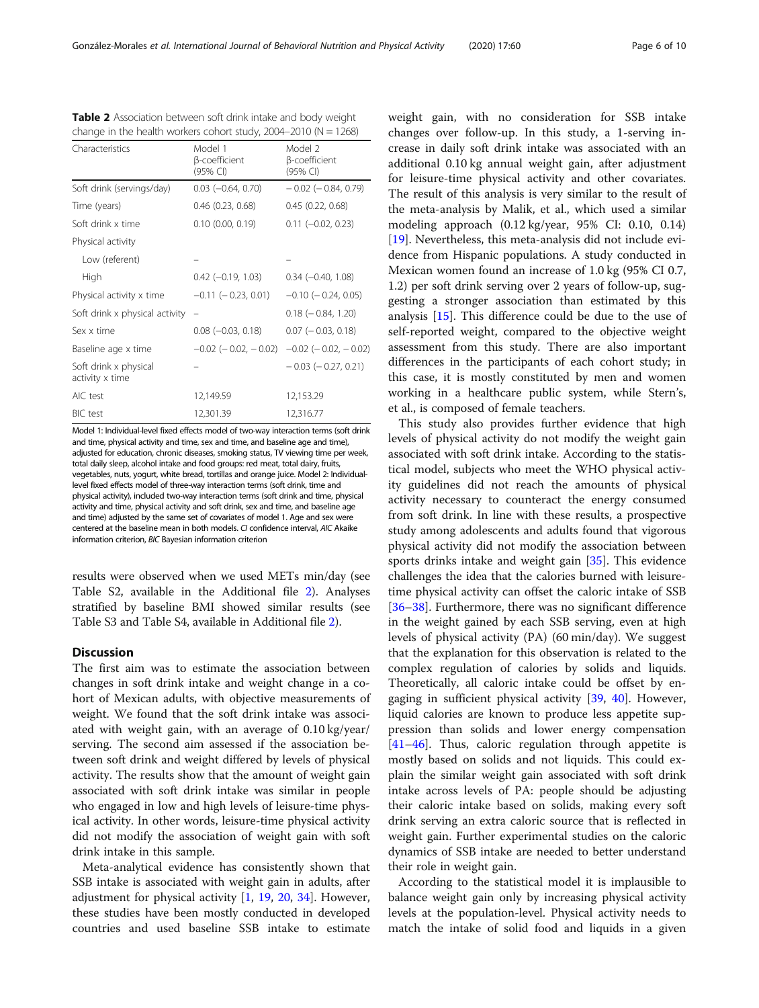<span id="page-5-0"></span>González-Morales et al. International Journal of Behavioral Nutrition and Physical Activity (2020) 17:60 Page 6 of 10

| Characteristics                          | Model 1<br>β-coefficient<br>(95% CI) | Model 2<br>β-coefficient<br>(95% CI) |
|------------------------------------------|--------------------------------------|--------------------------------------|
| Soft drink (servings/day)                | $0.03$ ( $-0.64$ , $0.70$ )          | $-0.02$ ( $-0.84$ , 0.79)            |
| Time (years)                             | $0.46$ $(0.23, 0.68)$                | $0.45$ $(0.22, 0.68)$                |
| Soft drink x time                        | $0.10$ $(0.00, 0.19)$                | $0.11 (-0.02, 0.23)$                 |
| Physical activity                        |                                      |                                      |
| Low (referent)                           |                                      |                                      |
| High                                     | $0.42$ (-0.19, 1.03)                 | $0.34 (-0.40, 1.08)$                 |
| Physical activity x time                 | $-0.11$ ( $-0.23$ , 0.01)            | $-0.10$ ( $-0.24$ , 0.05)            |
| Soft drink x physical activity           |                                      | $0.18$ ( $-0.84$ , 1.20)             |
| Sex x time                               | $0.08$ ( $-0.03$ , $0.18$ )          | $0.07$ ( $-0.03$ , 0.18)             |
| Baseline age x time                      | $-0.02$ ( $-0.02$ , $-0.02$ )        | $-0.02$ ( $-0.02$ , $-0.02$ )        |
| Soft drink x physical<br>activity x time |                                      | $-0.03$ ( $-0.27, 0.21$ )            |
| AIC test                                 | 12,149.59                            | 12,153.29                            |
| <b>BIC</b> test                          | 12,301.39                            | 12,316.77                            |

Model 1: Individual-level fixed effects model of two-way interaction terms (soft drink and time, physical activity and time, sex and time, and baseline age and time), adjusted for education, chronic diseases, smoking status, TV viewing time per week, total daily sleep, alcohol intake and food groups: red meat, total dairy, fruits, vegetables, nuts, yogurt, white bread, tortillas and orange juice. Model 2: Individuallevel fixed effects model of three-way interaction terms (soft drink, time and physical activity), included two-way interaction terms (soft drink and time, physical activity and time, physical activity and soft drink, sex and time, and baseline age and time) adjusted by the same set of covariates of model 1. Age and sex were centered at the baseline mean in both models. CI confidence interval, AIC Akaike information criterion, BIC Bayesian information criterion

results were observed when we used METs min/day (see Table S2, available in the Additional file [2\)](#page-7-0). Analyses stratified by baseline BMI showed similar results (see Table S3 and Table S4, available in Additional file [2\)](#page-7-0).

# **Discussion**

The first aim was to estimate the association between changes in soft drink intake and weight change in a cohort of Mexican adults, with objective measurements of weight. We found that the soft drink intake was associated with weight gain, with an average of 0.10 kg/year/ serving. The second aim assessed if the association between soft drink and weight differed by levels of physical activity. The results show that the amount of weight gain associated with soft drink intake was similar in people who engaged in low and high levels of leisure-time physical activity. In other words, leisure-time physical activity did not modify the association of weight gain with soft drink intake in this sample.

Meta-analytical evidence has consistently shown that SSB intake is associated with weight gain in adults, after adjustment for physical activity [\[1](#page-8-0), [19,](#page-8-0) [20,](#page-8-0) [34](#page-9-0)]. However, these studies have been mostly conducted in developed countries and used baseline SSB intake to estimate weight gain, with no consideration for SSB intake changes over follow-up. In this study, a 1-serving increase in daily soft drink intake was associated with an additional 0.10 kg annual weight gain, after adjustment for leisure-time physical activity and other covariates. The result of this analysis is very similar to the result of the meta-analysis by Malik, et al., which used a similar modeling approach (0.12 kg/year, 95% CI: 0.10, 0.14) [[19\]](#page-8-0). Nevertheless, this meta-analysis did not include evidence from Hispanic populations. A study conducted in Mexican women found an increase of 1.0 kg (95% CI 0.7, 1.2) per soft drink serving over 2 years of follow-up, suggesting a stronger association than estimated by this analysis [[15\]](#page-8-0). This difference could be due to the use of self-reported weight, compared to the objective weight assessment from this study. There are also important differences in the participants of each cohort study; in this case, it is mostly constituted by men and women working in a healthcare public system, while Stern's, et al., is composed of female teachers.

This study also provides further evidence that high levels of physical activity do not modify the weight gain associated with soft drink intake. According to the statistical model, subjects who meet the WHO physical activity guidelines did not reach the amounts of physical activity necessary to counteract the energy consumed from soft drink. In line with these results, a prospective study among adolescents and adults found that vigorous physical activity did not modify the association between sports drinks intake and weight gain [[35\]](#page-9-0). This evidence challenges the idea that the calories burned with leisuretime physical activity can offset the caloric intake of SSB [[36](#page-9-0)–[38](#page-9-0)]. Furthermore, there was no significant difference in the weight gained by each SSB serving, even at high levels of physical activity (PA) (60 min/day). We suggest that the explanation for this observation is related to the complex regulation of calories by solids and liquids. Theoretically, all caloric intake could be offset by engaging in sufficient physical activity [[39,](#page-9-0) [40](#page-9-0)]. However, liquid calories are known to produce less appetite suppression than solids and lower energy compensation [[41](#page-9-0)–[46](#page-9-0)]. Thus, caloric regulation through appetite is mostly based on solids and not liquids. This could explain the similar weight gain associated with soft drink intake across levels of PA: people should be adjusting their caloric intake based on solids, making every soft drink serving an extra caloric source that is reflected in weight gain. Further experimental studies on the caloric dynamics of SSB intake are needed to better understand their role in weight gain.

According to the statistical model it is implausible to balance weight gain only by increasing physical activity levels at the population-level. Physical activity needs to match the intake of solid food and liquids in a given

**Table 2** Association between soft drink intake and body weight change in the health workers cohort study,  $2004-2010$  (N = 1268)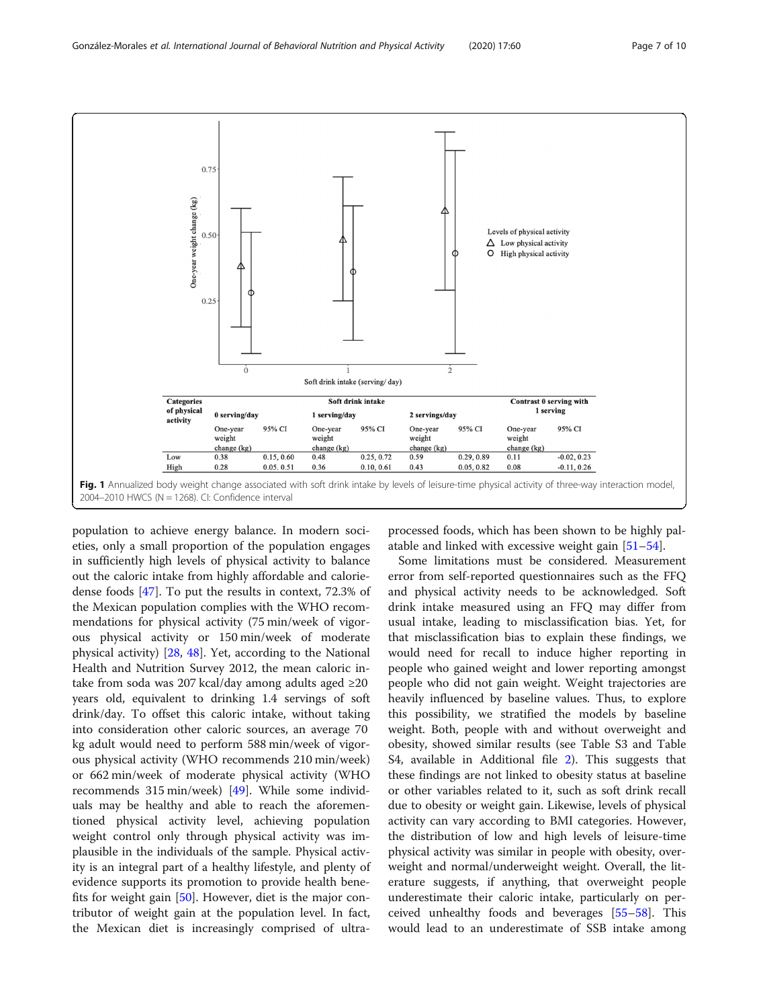<span id="page-6-0"></span>

population to achieve energy balance. In modern societies, only a small proportion of the population engages in sufficiently high levels of physical activity to balance out the caloric intake from highly affordable and caloriedense foods [[47\]](#page-9-0). To put the results in context, 72.3% of the Mexican population complies with the WHO recommendations for physical activity (75 min/week of vigorous physical activity or 150 min/week of moderate physical activity) [\[28](#page-8-0), [48\]](#page-9-0). Yet, according to the National Health and Nutrition Survey 2012, the mean caloric intake from soda was 207 kcal/day among adults aged ≥20 years old, equivalent to drinking 1.4 servings of soft drink/day. To offset this caloric intake, without taking into consideration other caloric sources, an average 70 kg adult would need to perform 588 min/week of vigorous physical activity (WHO recommends 210 min/week) or 662 min/week of moderate physical activity (WHO recommends 315 min/week) [[49\]](#page-9-0). While some individuals may be healthy and able to reach the aforementioned physical activity level, achieving population weight control only through physical activity was implausible in the individuals of the sample. Physical activity is an integral part of a healthy lifestyle, and plenty of evidence supports its promotion to provide health benefits for weight gain [[50\]](#page-9-0). However, diet is the major contributor of weight gain at the population level. In fact, the Mexican diet is increasingly comprised of ultra-

processed foods, which has been shown to be highly palatable and linked with excessive weight gain [[51](#page-9-0)–[54](#page-9-0)].

Some limitations must be considered. Measurement error from self-reported questionnaires such as the FFQ and physical activity needs to be acknowledged. Soft drink intake measured using an FFQ may differ from usual intake, leading to misclassification bias. Yet, for that misclassification bias to explain these findings, we would need for recall to induce higher reporting in people who gained weight and lower reporting amongst people who did not gain weight. Weight trajectories are heavily influenced by baseline values. Thus, to explore this possibility, we stratified the models by baseline weight. Both, people with and without overweight and obesity, showed similar results (see Table S3 and Table S4, available in Additional file [2](#page-7-0)). This suggests that these findings are not linked to obesity status at baseline or other variables related to it, such as soft drink recall due to obesity or weight gain. Likewise, levels of physical activity can vary according to BMI categories. However, the distribution of low and high levels of leisure-time physical activity was similar in people with obesity, overweight and normal/underweight weight. Overall, the literature suggests, if anything, that overweight people underestimate their caloric intake, particularly on perceived unhealthy foods and beverages [[55](#page-9-0)–[58](#page-9-0)]. This would lead to an underestimate of SSB intake among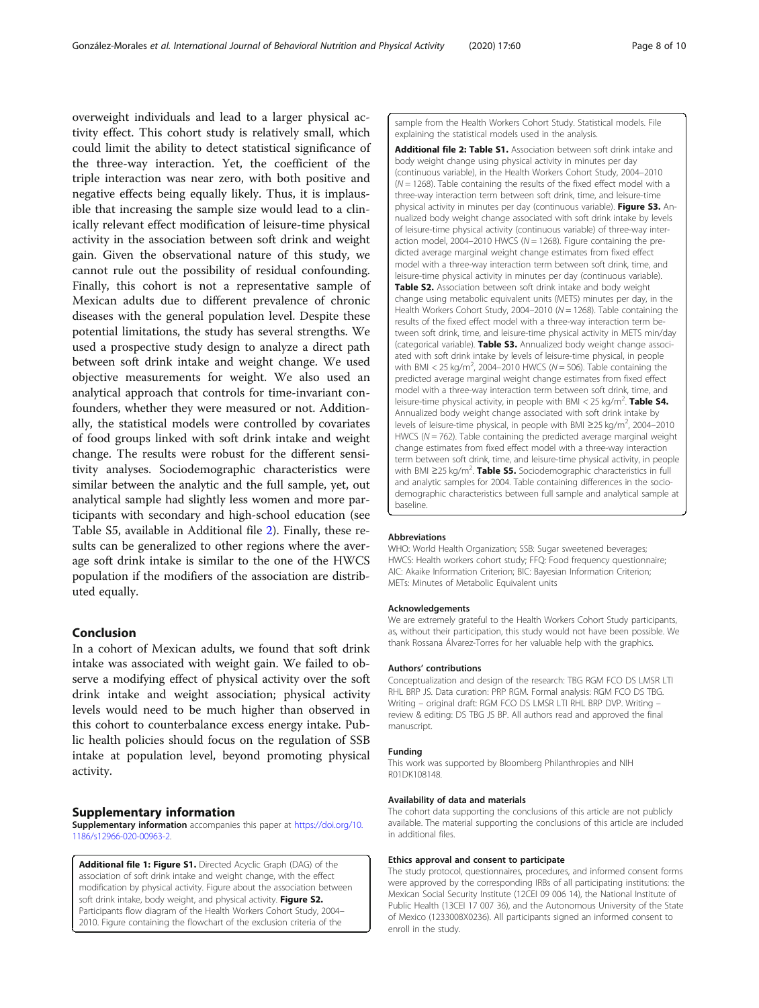<span id="page-7-0"></span>overweight individuals and lead to a larger physical activity effect. This cohort study is relatively small, which could limit the ability to detect statistical significance of the three-way interaction. Yet, the coefficient of the triple interaction was near zero, with both positive and negative effects being equally likely. Thus, it is implausible that increasing the sample size would lead to a clinically relevant effect modification of leisure-time physical activity in the association between soft drink and weight gain. Given the observational nature of this study, we cannot rule out the possibility of residual confounding. Finally, this cohort is not a representative sample of Mexican adults due to different prevalence of chronic diseases with the general population level. Despite these potential limitations, the study has several strengths. We used a prospective study design to analyze a direct path between soft drink intake and weight change. We used objective measurements for weight. We also used an analytical approach that controls for time-invariant confounders, whether they were measured or not. Additionally, the statistical models were controlled by covariates of food groups linked with soft drink intake and weight change. The results were robust for the different sensitivity analyses. Sociodemographic characteristics were similar between the analytic and the full sample, yet, out analytical sample had slightly less women and more participants with secondary and high-school education (see Table S5, available in Additional file 2). Finally, these results can be generalized to other regions where the average soft drink intake is similar to the one of the HWCS population if the modifiers of the association are distributed equally.

# Conclusion

In a cohort of Mexican adults, we found that soft drink intake was associated with weight gain. We failed to observe a modifying effect of physical activity over the soft drink intake and weight association; physical activity levels would need to be much higher than observed in this cohort to counterbalance excess energy intake. Public health policies should focus on the regulation of SSB intake at population level, beyond promoting physical activity.

#### Supplementary information

Supplementary information accompanies this paper at [https://doi.org/10.](https://doi.org/10.1186/s12966-020-00963-2) [1186/s12966-020-00963-2](https://doi.org/10.1186/s12966-020-00963-2).

Additional file 1: Figure S1. Directed Acyclic Graph (DAG) of the association of soft drink intake and weight change, with the effect modification by physical activity. Figure about the association between soft drink intake, body weight, and physical activity. Figure S2. Participants flow diagram of the Health Workers Cohort Study, 2004– 2010. Figure containing the flowchart of the exclusion criteria of the

sample from the Health Workers Cohort Study. Statistical models. File explaining the statistical models used in the analysis.

Additional file 2: Table S1. Association between soft drink intake and body weight change using physical activity in minutes per day (continuous variable), in the Health Workers Cohort Study, 2004–2010  $(N = 1268)$ . Table containing the results of the fixed effect model with a three-way interaction term between soft drink, time, and leisure-time physical activity in minutes per day (continuous variable). Figure S3. Annualized body weight change associated with soft drink intake by levels of leisure-time physical activity (continuous variable) of three-way interaction model, 2004–2010 HWCS ( $N = 1268$ ). Figure containing the predicted average marginal weight change estimates from fixed effect model with a three-way interaction term between soft drink, time, and leisure-time physical activity in minutes per day (continuous variable). Table S2. Association between soft drink intake and body weight change using metabolic equivalent units (METS) minutes per day, in the Health Workers Cohort Study, 2004–2010 ( $N = 1268$ ). Table containing the results of the fixed effect model with a three-way interaction term between soft drink, time, and leisure-time physical activity in METS min/day (categorical variable). Table S3. Annualized body weight change associated with soft drink intake by levels of leisure-time physical, in people with BMI < 25 kg/m<sup>2</sup>, 2004-2010 HWCS ( $N = 506$ ). Table containing the predicted average marginal weight change estimates from fixed effect model with a three-way interaction term between soft drink, time, and leisure-time physical activity, in people with BMI < 25 kg/m<sup>2</sup>. Table S4. Annualized body weight change associated with soft drink intake by levels of leisure-time physical, in people with BMI ≥25 kg/m<sup>2</sup>, 2004-2010 HWCS ( $N = 762$ ). Table containing the predicted average marginal weight change estimates from fixed effect model with a three-way interaction term between soft drink, time, and leisure-time physical activity, in people with BMI ≥25 kg/m<sup>2</sup>. Table S5. Sociodemographic characteristics in full and analytic samples for 2004. Table containing differences in the sociodemographic characteristics between full sample and analytical sample at baseline.

#### Abbreviations

WHO: World Health Organization; SSB: Sugar sweetened beverages; HWCS: Health workers cohort study; FFQ: Food frequency questionnaire; AIC: Akaike Information Criterion; BIC: Bayesian Information Criterion; METs: Minutes of Metabolic Equivalent units

#### Acknowledgements

We are extremely grateful to the Health Workers Cohort Study participants, as, without their participation, this study would not have been possible. We thank Rossana Álvarez-Torres for her valuable help with the graphics.

#### Authors' contributions

Conceptualization and design of the research: TBG RGM FCO DS LMSR LTI RHL BRP JS. Data curation: PRP RGM. Formal analysis: RGM FCO DS TBG. Writing – original draft: RGM FCO DS LMSR LTI RHL BRP DVP. Writing – review & editing: DS TBG JS BP. All authors read and approved the final manuscript.

#### Funding

This work was supported by Bloomberg Philanthropies and NIH R01DK108148.

#### Availability of data and materials

The cohort data supporting the conclusions of this article are not publicly available. The material supporting the conclusions of this article are included in additional files.

#### Ethics approval and consent to participate

The study protocol, questionnaires, procedures, and informed consent forms were approved by the corresponding IRBs of all participating institutions: the Mexican Social Security Institute (12CEI 09 006 14), the National Institute of Public Health (13CEI 17 007 36), and the Autonomous University of the State of Mexico (1233008X0236). All participants signed an informed consent to enroll in the study.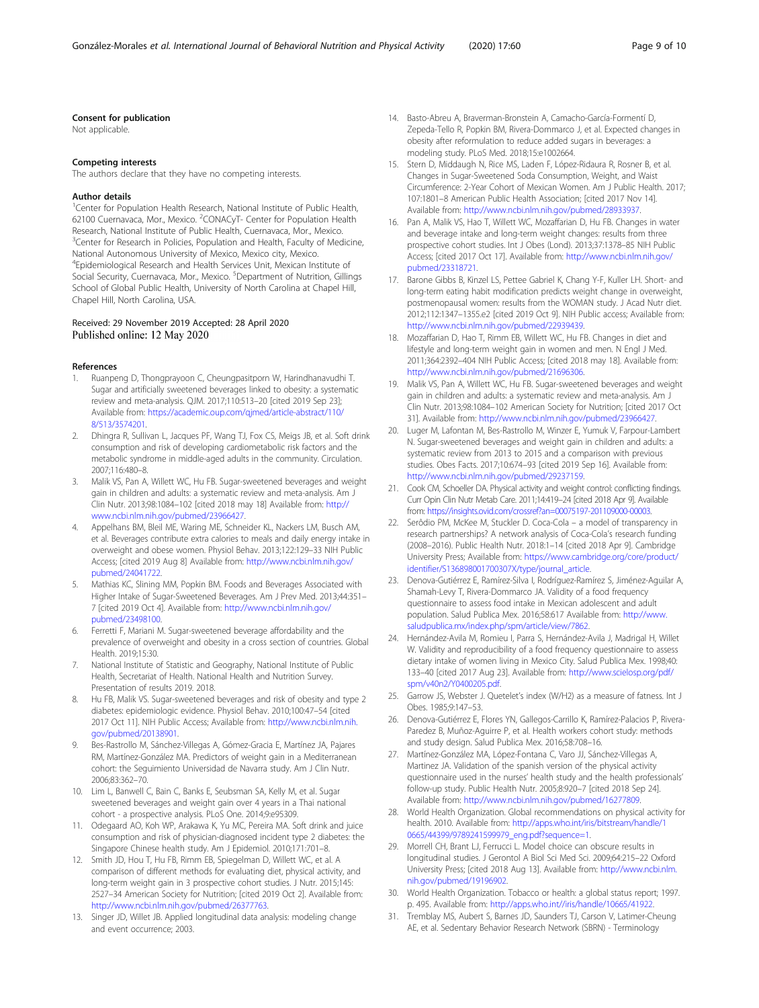#### <span id="page-8-0"></span>Consent for publication

Not applicable.

#### Competing interests

The authors declare that they have no competing interests.

#### Author details

<sup>1</sup> Center for Population Health Research, National Institute of Public Health, 62100 Cuernavaca, Mor., Mexico. <sup>2</sup>CONACyT- Center for Population Health Research, National Institute of Public Health, Cuernavaca, Mor., Mexico. <sup>3</sup>Center for Research in Policies, Population and Health, Faculty of Medicine, National Autonomous University of Mexico, Mexico city, Mexico. 4 Epidemiological Research and Health Services Unit, Mexican Institute of Social Security, Cuernavaca, Mor., Mexico. <sup>5</sup>Department of Nutrition, Gillings School of Global Public Health, University of North Carolina at Chapel Hill, Chapel Hill, North Carolina, USA.

#### Received: 29 November 2019 Accepted: 28 April 2020 Published online: 12 May 2020

#### References

- 1. Ruanpeng D, Thongprayoon C, Cheungpasitporn W, Harindhanavudhi T. Sugar and artificially sweetened beverages linked to obesity: a systematic review and meta-analysis. QJM. 2017;110:513–20 [cited 2019 Sep 23]; Available from: [https://academic.oup.com/qjmed/article-abstract/110/](https://academic.oup.com/qjmed/article-abstract/110/8/513/3574201) [8/513/3574201](https://academic.oup.com/qjmed/article-abstract/110/8/513/3574201).
- 2. Dhingra R, Sullivan L, Jacques PF, Wang TJ, Fox CS, Meigs JB, et al. Soft drink consumption and risk of developing cardiometabolic risk factors and the metabolic syndrome in middle-aged adults in the community. Circulation. 2007;116:480–8.
- 3. Malik VS, Pan A, Willett WC, Hu FB. Sugar-sweetened beverages and weight gain in children and adults: a systematic review and meta-analysis. Am J Clin Nutr. 2013;98:1084–102 [cited 2018 may 18] Available from: [http://](http://www.ncbi.nlm.nih.gov/pubmed/23966427) [www.ncbi.nlm.nih.gov/pubmed/23966427.](http://www.ncbi.nlm.nih.gov/pubmed/23966427)
- 4. Appelhans BM, Bleil ME, Waring ME, Schneider KL, Nackers LM, Busch AM, et al. Beverages contribute extra calories to meals and daily energy intake in overweight and obese women. Physiol Behav. 2013;122:129–33 NIH Public Access; [cited 2019 Aug 8] Available from: [http://www.ncbi.nlm.nih.gov/](http://www.ncbi.nlm.nih.gov/pubmed/24041722) [pubmed/24041722.](http://www.ncbi.nlm.nih.gov/pubmed/24041722)
- 5. Mathias KC, Slining MM, Popkin BM. Foods and Beverages Associated with Higher Intake of Sugar-Sweetened Beverages. Am J Prev Med. 2013;44:351– 7 [cited 2019 Oct 4]. Available from: [http://www.ncbi.nlm.nih.gov/](http://www.ncbi.nlm.nih.gov/pubmed/23498100) [pubmed/23498100.](http://www.ncbi.nlm.nih.gov/pubmed/23498100)
- 6. Ferretti F, Mariani M. Sugar-sweetened beverage affordability and the prevalence of overweight and obesity in a cross section of countries. Global Health. 2019;15:30.
- 7. National Institute of Statistic and Geography, National Institute of Public Health, Secretariat of Health. National Health and Nutrition Survey. Presentation of results 2019. 2018.
- 8. Hu FB, Malik VS. Sugar-sweetened beverages and risk of obesity and type 2 diabetes: epidemiologic evidence. Physiol Behav. 2010;100:47–54 [cited 2017 Oct 11]. NIH Public Access; Available from: [http://www.ncbi.nlm.nih.](http://www.ncbi.nlm.nih.gov/pubmed/20138901) [gov/pubmed/20138901](http://www.ncbi.nlm.nih.gov/pubmed/20138901).
- 9. Bes-Rastrollo M, Sánchez-Villegas A, Gómez-Gracia E, Martínez JA, Pajares RM, Martínez-González MA. Predictors of weight gain in a Mediterranean cohort: the Seguimiento Universidad de Navarra study. Am J Clin Nutr. 2006;83:362–70.
- 10. Lim L, Banwell C, Bain C, Banks E, Seubsman SA, Kelly M, et al. Sugar sweetened beverages and weight gain over 4 years in a Thai national cohort - a prospective analysis. PLoS One. 2014;9:e95309.
- 11. Odegaard AO, Koh WP, Arakawa K, Yu MC, Pereira MA. Soft drink and juice consumption and risk of physician-diagnosed incident type 2 diabetes: the Singapore Chinese health study. Am J Epidemiol. 2010;171:701–8.
- 12. Smith JD, Hou T, Hu FB, Rimm EB, Spiegelman D, Willett WC, et al. A comparison of different methods for evaluating diet, physical activity, and long-term weight gain in 3 prospective cohort studies. J Nutr. 2015;145: 2527–34 American Society for Nutrition; [cited 2019 Oct 2]. Available from: [http://www.ncbi.nlm.nih.gov/pubmed/26377763.](http://www.ncbi.nlm.nih.gov/pubmed/26377763)
- 13. Singer JD, Willet JB. Applied longitudinal data analysis: modeling change and event occurrence; 2003.
- 14. Basto-Abreu A, Braverman-Bronstein A, Camacho-García-Formentí D, Zepeda-Tello R, Popkin BM, Rivera-Dommarco J, et al. Expected changes in obesity after reformulation to reduce added sugars in beverages: a modeling study. PLoS Med. 2018;15:e1002664.
- 15. Stern D, Middaugh N, Rice MS, Laden F, López-Ridaura R, Rosner B, et al. Changes in Sugar-Sweetened Soda Consumption, Weight, and Waist Circumference: 2-Year Cohort of Mexican Women. Am J Public Health. 2017; 107:1801–8 American Public Health Association; [cited 2017 Nov 14]. Available from: <http://www.ncbi.nlm.nih.gov/pubmed/28933937>.
- 16. Pan A, Malik VS, Hao T, Willett WC, Mozaffarian D, Hu FB. Changes in water and beverage intake and long-term weight changes: results from three prospective cohort studies. Int J Obes (Lond). 2013;37:1378–85 NIH Public Access; [cited 2017 Oct 17]. Available from: [http://www.ncbi.nlm.nih.gov/](http://www.ncbi.nlm.nih.gov/pubmed/23318721) [pubmed/23318721.](http://www.ncbi.nlm.nih.gov/pubmed/23318721)
- 17. Barone Gibbs B, Kinzel LS, Pettee Gabriel K, Chang Y-F, Kuller LH. Short- and long-term eating habit modification predicts weight change in overweight, postmenopausal women: results from the WOMAN study. J Acad Nutr diet. 2012;112:1347–1355.e2 [cited 2019 Oct 9]. NIH Public access; Available from: [http://www.ncbi.nlm.nih.gov/pubmed/22939439.](http://www.ncbi.nlm.nih.gov/pubmed/22939439)
- 18. Mozaffarian D, Hao T, Rimm EB, Willett WC, Hu FB. Changes in diet and lifestyle and long-term weight gain in women and men. N Engl J Med. 2011;364:2392–404 NIH Public Access; [cited 2018 may 18]. Available from: [http://www.ncbi.nlm.nih.gov/pubmed/21696306.](http://www.ncbi.nlm.nih.gov/pubmed/21696306)
- 19. Malik VS, Pan A, Willett WC, Hu FB. Sugar-sweetened beverages and weight gain in children and adults: a systematic review and meta-analysis. Am J Clin Nutr. 2013;98:1084–102 American Society for Nutrition; [cited 2017 Oct 31]. Available from: <http://www.ncbi.nlm.nih.gov/pubmed/23966427>.
- 20. Luger M, Lafontan M, Bes-Rastrollo M, Winzer E, Yumuk V, Farpour-Lambert N. Sugar-sweetened beverages and weight gain in children and adults: a systematic review from 2013 to 2015 and a comparison with previous studies. Obes Facts. 2017;10:674–93 [cited 2019 Sep 16]. Available from: [http://www.ncbi.nlm.nih.gov/pubmed/29237159.](http://www.ncbi.nlm.nih.gov/pubmed/29237159)
- 21. Cook CM, Schoeller DA. Physical activity and weight control: conflicting findings. Curr Opin Clin Nutr Metab Care. 2011;14:419–24 [cited 2018 Apr 9]. Available from: <https://insights.ovid.com/crossref?an=00075197-201109000-00003>.
- 22. Serôdio PM, McKee M, Stuckler D. Coca-Cola a model of transparency in research partnerships? A network analysis of Coca-Cola's research funding (2008–2016). Public Health Nutr. 2018:1–14 [cited 2018 Apr 9]. Cambridge University Press; Available from: [https://www.cambridge.org/core/product/](https://www.cambridge.org/core/product/identifier/S136898001700307X/type/journal_article) [identifier/S136898001700307X/type/journal\\_article.](https://www.cambridge.org/core/product/identifier/S136898001700307X/type/journal_article)
- 23. Denova-Gutiérrez E, Ramírez-Silva I, Rodríguez-Ramírez S, Jiménez-Aguilar A, Shamah-Levy T, Rivera-Dommarco JA, Validity of a food frequency questionnaire to assess food intake in Mexican adolescent and adult population. Salud Publica Mex. 2016;58:617 Available from: [http://www.](http://www.saludpublica.mx/index.php/spm/article/view/7862) [saludpublica.mx/index.php/spm/article/view/7862.](http://www.saludpublica.mx/index.php/spm/article/view/7862)
- 24. Hernández-Avila M, Romieu I, Parra S, Hernández-Avila J, Madrigal H, Willet W. Validity and reproducibility of a food frequency questionnaire to assess dietary intake of women living in Mexico City. Salud Publica Mex. 1998;40: 133–40 [cited 2017 Aug 23]. Available from: [http://www.scielosp.org/pdf/](http://www.scielosp.org/pdf/spm/v40n2/Y0400205.pdf) [spm/v40n2/Y0400205.pdf](http://www.scielosp.org/pdf/spm/v40n2/Y0400205.pdf).
- 25. Garrow JS, Webster J. Quetelet's index (W/H2) as a measure of fatness. Int J Obes. 1985;9:147–53.
- 26. Denova-Gutiérrez E, Flores YN, Gallegos-Carrillo K, Ramírez-Palacios P, Rivera-Paredez B, Muñoz-Aguirre P, et al. Health workers cohort study: methods and study design. Salud Publica Mex. 2016;58:708–16.
- 27. Martínez-González MA, López-Fontana C, Varo JJ, Sánchez-Villegas A, Martinez JA. Validation of the spanish version of the physical activity questionnaire used in the nurses' health study and the health professionals' follow-up study. Public Health Nutr. 2005;8:920–7 [cited 2018 Sep 24]. Available from: <http://www.ncbi.nlm.nih.gov/pubmed/16277809>.
- 28. World Health Organization. Global recommendations on physical activity for health. 2010. Available from: [http://apps.who.int/iris/bitstream/handle/1](http://apps.who.int/iris/bitstream/handle/10665/44399/9789241599979_eng.pdf?sequence=1) [0665/44399/9789241599979\\_eng.pdf?sequence=1.](http://apps.who.int/iris/bitstream/handle/10665/44399/9789241599979_eng.pdf?sequence=1)
- 29. Morrell CH, Brant LJ, Ferrucci L. Model choice can obscure results in longitudinal studies. J Gerontol A Biol Sci Med Sci. 2009;64:215–22 Oxford University Press; [cited 2018 Aug 13]. Available from: [http://www.ncbi.nlm.](http://www.ncbi.nlm.nih.gov/pubmed/19196902) [nih.gov/pubmed/19196902](http://www.ncbi.nlm.nih.gov/pubmed/19196902).
- 30. World Health Organization. Tobacco or health: a global status report; 1997. p. 495. Available from: <http://apps.who.int//iris/handle/10665/41922>.
- 31. Tremblay MS, Aubert S, Barnes JD, Saunders TJ, Carson V, Latimer-Cheung AE, et al. Sedentary Behavior Research Network (SBRN) - Terminology